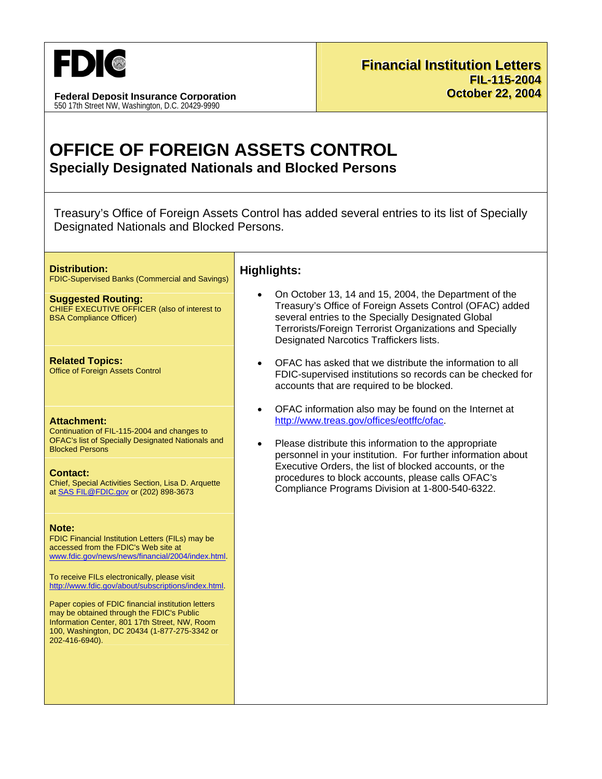

**Federal Deposit Insurance Corporation** 550 17th Street NW, Washington, D.C. 20429-9990

# OFFICE OF FOREIGN ASSETS CONTROL **Specially Designated Nationals and Blocked Persons**

Treasury's Office of Foreign Assets Control has added several entries to its list of Specially Designated Nationals and Blocked Persons.

#### **Distribution:**

**FDIC-Supervised Banks (Commercial and Savings)** 

**Suggested Routing:** CHIEF EXECUTIVE OFFICER (also of interest to **BSA Compliance Officer)** 

**Related Topics: Office of Foreign Assets Control** 

#### **Attachment:**

Continuation of FIL-115-2004 and changes to OFAC's list of Specially Designated Nationals and **Blocked Persons** 

**Contact:** 

Chief, Special Activities Section, Lisa D. Arquette at SAS FIL@FDIC.gov or (202) 898-3673

### Note:

FDIC Financial Institution Letters (FILs) may be accessed from the FDIC's Web site at www.fdic.gov/news/news/financial/2004/index.html.

To receive FILs electronically, please visit http://www.fdic.gov/about/subscriptions/index.html.

Paper copies of FDIC financial institution letters may be obtained through the FDIC's Public Information Center, 801 17th Street, NW, Room 100, Washington, DC 20434 (1-877-275-3342 or 202-416-6940).

## **Highlights:**

- On October 13, 14 and 15, 2004, the Department of the Treasury's Office of Foreign Assets Control (OFAC) added several entries to the Specially Designated Global Terrorists/Foreign Terrorist Organizations and Specially **Designated Narcotics Traffickers lists.**
- OFAC has asked that we distribute the information to all FDIC-supervised institutions so records can be checked for accounts that are required to be blocked.
- OFAC information also may be found on the Internet at http://www.treas.gov/offices/eotffc/ofac.
- Please distribute this information to the appropriate personnel in your institution. For further information about Executive Orders, the list of blocked accounts, or the procedures to block accounts, please calls OFAC's Compliance Programs Division at 1-800-540-6322.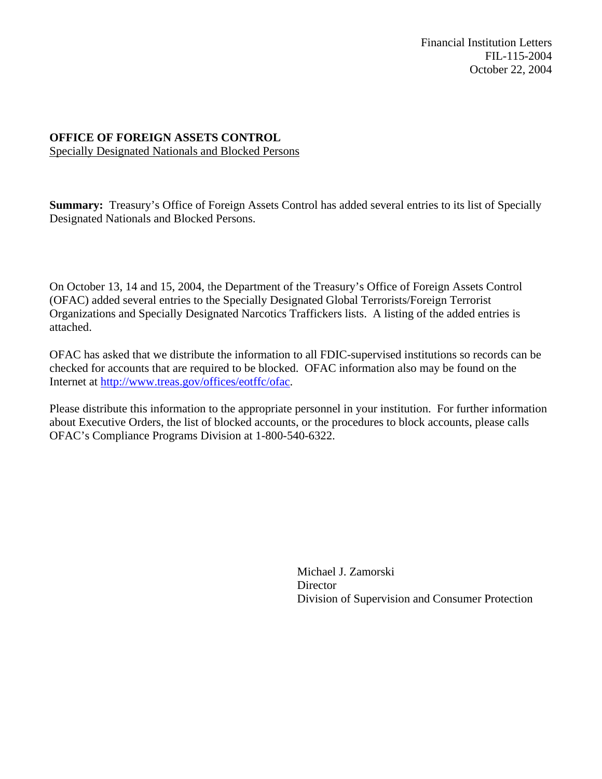Financial Institution Letters FIL-115-2004 October 22, 2004

### **OFFICE OF FOREIGN ASSETS CONTROL**  Specially Designated Nationals and Blocked Persons

**Summary:** Treasury's Office of Foreign Assets Control has added several entries to its list of Specially Designated Nationals and Blocked Persons.

On October 13, 14 and 15, 2004, the Department of the Treasury's Office of Foreign Assets Control (OFAC) added several entries to the Specially Designated Global Terrorists/Foreign Terrorist Organizations and Specially Designated Narcotics Traffickers lists. A listing of the added entries is attached.

OFAC has asked that we distribute the information to all FDIC-supervised institutions so records can be checked for accounts that are required to be blocked. OFAC information also may be found on the Internet at http://www.treas.gov/offices/eotffc/ofac.

Please distribute this information to the appropriate personnel in your institution. For further information about Executive Orders, the list of blocked accounts, or the procedures to block accounts, please calls OFAC's Compliance Programs Division at 1-800-540-6322.

> Michael J. Zamorski Director Division of Supervision and Consumer Protection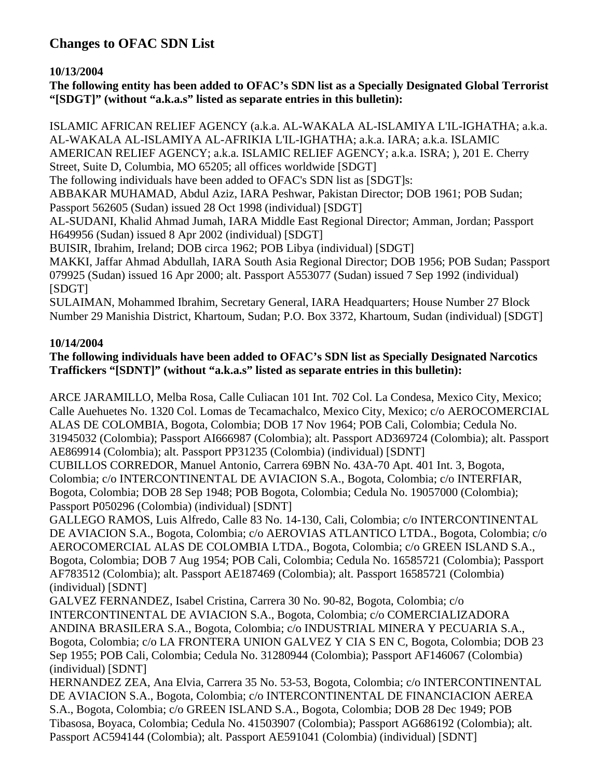# **Changes to OFAC SDN List**

**10/13/2004** 

**The following entity has been added to OFAC's SDN list as a Specially Designated Global Terrorist "[SDGT]" (without "a.k.a.s" listed as separate entries in this bulletin):** 

ISLAMIC AFRICAN RELIEF AGENCY (a.k.a. AL-WAKALA AL-ISLAMIYA L'IL-IGHATHA; a.k.a. AL-WAKALA AL-ISLAMIYA AL-AFRIKIA L'IL-IGHATHA; a.k.a. IARA; a.k.a. ISLAMIC AMERICAN RELIEF AGENCY; a.k.a. ISLAMIC RELIEF AGENCY; a.k.a. ISRA; ), 201 E. Cherry

Street, Suite D, Columbia, MO 65205; all offices worldwide [SDGT]

The following individuals have been added to OFAC's SDN list as [SDGT]s:

ABBAKAR MUHAMAD, Abdul Aziz, IARA Peshwar, Pakistan Director; DOB 1961; POB Sudan; Passport 562605 (Sudan) issued 28 Oct 1998 (individual) [SDGT]

AL-SUDANI, Khalid Ahmad Jumah, IARA Middle East Regional Director; Amman, Jordan; Passport H649956 (Sudan) issued 8 Apr 2002 (individual) [SDGT]

BUISIR, Ibrahim, Ireland; DOB circa 1962; POB Libya (individual) [SDGT]

MAKKI, Jaffar Ahmad Abdullah, IARA South Asia Regional Director; DOB 1956; POB Sudan; Passport 079925 (Sudan) issued 16 Apr 2000; alt. Passport A553077 (Sudan) issued 7 Sep 1992 (individual) [SDGT]

SULAIMAN, Mohammed Ibrahim, Secretary General, IARA Headquarters; House Number 27 Block Number 29 Manishia District, Khartoum, Sudan; P.O. Box 3372, Khartoum, Sudan (individual) [SDGT]

## **10/14/2004**

## **The following individuals have been added to OFAC's SDN list as Specially Designated Narcotics Traffickers "[SDNT]" (without "a.k.a.s" listed as separate entries in this bulletin):**

ARCE JARAMILLO, Melba Rosa, Calle Culiacan 101 Int. 702 Col. La Condesa, Mexico City, Mexico; Calle Auehuetes No. 1320 Col. Lomas de Tecamachalco, Mexico City, Mexico; c/o AEROCOMERCIAL ALAS DE COLOMBIA, Bogota, Colombia; DOB 17 Nov 1964; POB Cali, Colombia; Cedula No. 31945032 (Colombia); Passport AI666987 (Colombia); alt. Passport AD369724 (Colombia); alt. Passport AE869914 (Colombia); alt. Passport PP31235 (Colombia) (individual) [SDNT]

CUBILLOS CORREDOR, Manuel Antonio, Carrera 69BN No. 43A-70 Apt. 401 Int. 3, Bogota, Colombia; c/o INTERCONTINENTAL DE AVIACION S.A., Bogota, Colombia; c/o INTERFIAR, Bogota, Colombia; DOB 28 Sep 1948; POB Bogota, Colombia; Cedula No. 19057000 (Colombia); Passport P050296 (Colombia) (individual) [SDNT]

GALLEGO RAMOS, Luis Alfredo, Calle 83 No. 14-130, Cali, Colombia; c/o INTERCONTINENTAL DE AVIACION S.A., Bogota, Colombia; c/o AEROVIAS ATLANTICO LTDA., Bogota, Colombia; c/o AEROCOMERCIAL ALAS DE COLOMBIA LTDA., Bogota, Colombia; c/o GREEN ISLAND S.A., Bogota, Colombia; DOB 7 Aug 1954; POB Cali, Colombia; Cedula No. 16585721 (Colombia); Passport AF783512 (Colombia); alt. Passport AE187469 (Colombia); alt. Passport 16585721 (Colombia) (individual) [SDNT]

GALVEZ FERNANDEZ, Isabel Cristina, Carrera 30 No. 90-82, Bogota, Colombia; c/o INTERCONTINENTAL DE AVIACION S.A., Bogota, Colombia; c/o COMERCIALIZADORA ANDINA BRASILERA S.A., Bogota, Colombia; c/o INDUSTRIAL MINERA Y PECUARIA S.A., Bogota, Colombia; c/o LA FRONTERA UNION GALVEZ Y CIA S EN C, Bogota, Colombia; DOB 23 Sep 1955; POB Cali, Colombia; Cedula No. 31280944 (Colombia); Passport AF146067 (Colombia) (individual) [SDNT]

HERNANDEZ ZEA, Ana Elvia, Carrera 35 No. 53-53, Bogota, Colombia; c/o INTERCONTINENTAL DE AVIACION S.A., Bogota, Colombia; c/o INTERCONTINENTAL DE FINANCIACION AEREA S.A., Bogota, Colombia; c/o GREEN ISLAND S.A., Bogota, Colombia; DOB 28 Dec 1949; POB Tibasosa, Boyaca, Colombia; Cedula No. 41503907 (Colombia); Passport AG686192 (Colombia); alt. Passport AC594144 (Colombia); alt. Passport AE591041 (Colombia) (individual) [SDNT]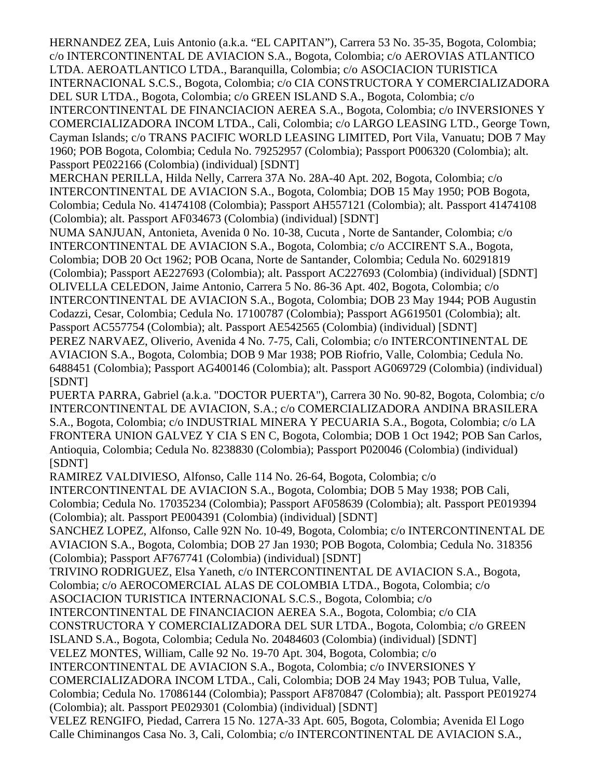HERNANDEZ ZEA, Luis Antonio (a.k.a. "EL CAPITAN"), Carrera 53 No. 35-35, Bogota, Colombia; c/o INTERCONTINENTAL DE AVIACION S.A., Bogota, Colombia; c/o AEROVIAS ATLANTICO LTDA. AEROATLANTICO LTDA., Baranquilla, Colombia; c/o ASOCIACION TURISTICA INTERNACIONAL S.C.S., Bogota, Colombia; c/o CIA CONSTRUCTORA Y COMERCIALIZADORA DEL SUR LTDA., Bogota, Colombia; c/o GREEN ISLAND S.A., Bogota, Colombia; c/o INTERCONTINENTAL DE FINANCIACION AEREA S.A., Bogota, Colombia; c/o INVERSIONES Y COMERCIALIZADORA INCOM LTDA., Cali, Colombia; c/o LARGO LEASING LTD., George Town, Cayman Islands; c/o TRANS PACIFIC WORLD LEASING LIMITED, Port Vila, Vanuatu; DOB 7 May 1960; POB Bogota, Colombia; Cedula No. 79252957 (Colombia); Passport P006320 (Colombia); alt. Passport PE022166 (Colombia) (individual) [SDNT]

MERCHAN PERILLA, Hilda Nelly, Carrera 37A No. 28A-40 Apt. 202, Bogota, Colombia; c/o INTERCONTINENTAL DE AVIACION S.A., Bogota, Colombia; DOB 15 May 1950; POB Bogota, Colombia; Cedula No. 41474108 (Colombia); Passport AH557121 (Colombia); alt. Passport 41474108 (Colombia); alt. Passport AF034673 (Colombia) (individual) [SDNT]

NUMA SANJUAN, Antonieta, Avenida 0 No. 10-38, Cucuta , Norte de Santander, Colombia; c/o INTERCONTINENTAL DE AVIACION S.A., Bogota, Colombia; c/o ACCIRENT S.A., Bogota, Colombia; DOB 20 Oct 1962; POB Ocana, Norte de Santander, Colombia; Cedula No. 60291819 (Colombia); Passport AE227693 (Colombia); alt. Passport AC227693 (Colombia) (individual) [SDNT] OLIVELLA CELEDON, Jaime Antonio, Carrera 5 No. 86-36 Apt. 402, Bogota, Colombia; c/o INTERCONTINENTAL DE AVIACION S.A., Bogota, Colombia; DOB 23 May 1944; POB Augustin Codazzi, Cesar, Colombia; Cedula No. 17100787 (Colombia); Passport AG619501 (Colombia); alt. Passport AC557754 (Colombia); alt. Passport AE542565 (Colombia) (individual) [SDNT]

PEREZ NARVAEZ, Oliverio, Avenida 4 No. 7-75, Cali, Colombia; c/o INTERCONTINENTAL DE AVIACION S.A., Bogota, Colombia; DOB 9 Mar 1938; POB Riofrio, Valle, Colombia; Cedula No. 6488451 (Colombia); Passport AG400146 (Colombia); alt. Passport AG069729 (Colombia) (individual) [SDNT]

PUERTA PARRA, Gabriel (a.k.a. "DOCTOR PUERTA"), Carrera 30 No. 90-82, Bogota, Colombia; c/o INTERCONTINENTAL DE AVIACION, S.A.; c/o COMERCIALIZADORA ANDINA BRASILERA S.A., Bogota, Colombia; c/o INDUSTRIAL MINERA Y PECUARIA S.A., Bogota, Colombia; c/o LA FRONTERA UNION GALVEZ Y CIA S EN C, Bogota, Colombia; DOB 1 Oct 1942; POB San Carlos, Antioquia, Colombia; Cedula No. 8238830 (Colombia); Passport P020046 (Colombia) (individual) [SDNT]

RAMIREZ VALDIVIESO, Alfonso, Calle 114 No. 26-64, Bogota, Colombia; c/o INTERCONTINENTAL DE AVIACION S.A., Bogota, Colombia; DOB 5 May 1938; POB Cali, Colombia; Cedula No. 17035234 (Colombia); Passport AF058639 (Colombia); alt. Passport PE019394 (Colombia); alt. Passport PE004391 (Colombia) (individual) [SDNT]

SANCHEZ LOPEZ, Alfonso, Calle 92N No. 10-49, Bogota, Colombia; c/o INTERCONTINENTAL DE AVIACION S.A., Bogota, Colombia; DOB 27 Jan 1930; POB Bogota, Colombia; Cedula No. 318356 (Colombia); Passport AF767741 (Colombia) (individual) [SDNT]

TRIVINO RODRIGUEZ, Elsa Yaneth, c/o INTERCONTINENTAL DE AVIACION S.A., Bogota, Colombia; c/o AEROCOMERCIAL ALAS DE COLOMBIA LTDA., Bogota, Colombia; c/o

ASOCIACION TURISTICA INTERNACIONAL S.C.S., Bogota, Colombia; c/o

INTERCONTINENTAL DE FINANCIACION AEREA S.A., Bogota, Colombia; c/o CIA

CONSTRUCTORA Y COMERCIALIZADORA DEL SUR LTDA., Bogota, Colombia; c/o GREEN

ISLAND S.A., Bogota, Colombia; Cedula No. 20484603 (Colombia) (individual) [SDNT]

VELEZ MONTES, William, Calle 92 No. 19-70 Apt. 304, Bogota, Colombia; c/o

INTERCONTINENTAL DE AVIACION S.A., Bogota, Colombia; c/o INVERSIONES Y

COMERCIALIZADORA INCOM LTDA., Cali, Colombia; DOB 24 May 1943; POB Tulua, Valle,

Colombia; Cedula No. 17086144 (Colombia); Passport AF870847 (Colombia); alt. Passport PE019274 (Colombia); alt. Passport PE029301 (Colombia) (individual) [SDNT]

VELEZ RENGIFO, Piedad, Carrera 15 No. 127A-33 Apt. 605, Bogota, Colombia; Avenida El Logo Calle Chiminangos Casa No. 3, Cali, Colombia; c/o INTERCONTINENTAL DE AVIACION S.A.,